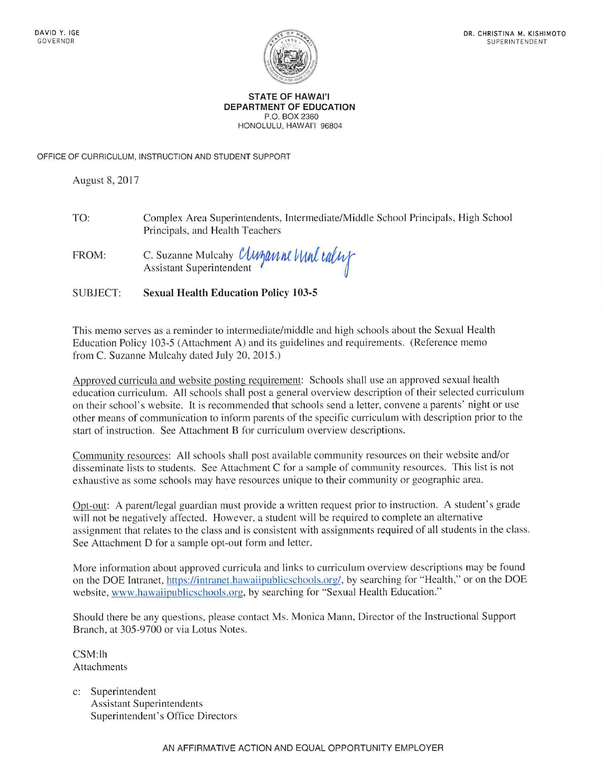

#### **STATE OF HAWAl'I DEPARTMENT OF EDUCATION**  P.O. BOX 2360 HONOLULU, HAWAl'I 96804

OFFICE OF CURRICULUM, INSTRUCTION AND STUDENT SUPPORT

August 8, 2017

TO: Complex Area Superintendents, Intermediate/Middle School Principals, High School Principals, and Health Teachers

FROM: C. Suzanne Mulcahy *UMMAM NU UILUX* Assistant Superintendent

SUBJECT: **Sexual Health Education Policy 103-5** 

This memo serves as a reminder to intermediate/middle and high schools about the Sexual Health Education Policy 103-5 (Attachment A) and its guidelines and requirements. (Reference memo from C. Suzanne Mulcahy dated July 20, 2015.)

Approved curricula and website posting requirement: Schools shall use an approved sexual health education curriculum. All schools shall post a general overview description of their selected curriculum on their school's website. It is recommended that schools send a letter, convene a parents' night or use other means of communication to inform parents of the specific curriculum with description prior to the start of instruction. See Attachment B for curriculum overview descriptions.

Community resources: All schools shall post available community resources on their website and/or disseminate lists to students. See Attachment C for a sample of community resources. This list is not exhaustive as some schools may have resources unique to their community or geographic area.

Opt-out: A parent/legal guardian must provide a written request prior to instruction. A student's grade will not be negatively affected. However, a student will be required to complete an alternative assignment that relates to the class and is consistent with assignments required of all students in the class. See Attachment D for a sample opt-out form and letter.

More information about approved curricula and links to curriculum overview descriptions may be found on the DOE Intranet, https://intranet.hawaiipublicschools.org/, by searching for "Health," or on the DOE website, <www.hawaiipublicschools.org>, by searching for "Sexual Health Education."

Should there be any questions, please contact Ms. Monica Mann, Director of the Instructional Support Branch, at 305-9700 or via Lotus Notes.

CSM:lh Attachments

c: Superintendent Assistant Superintendents Superintendent's Office Directors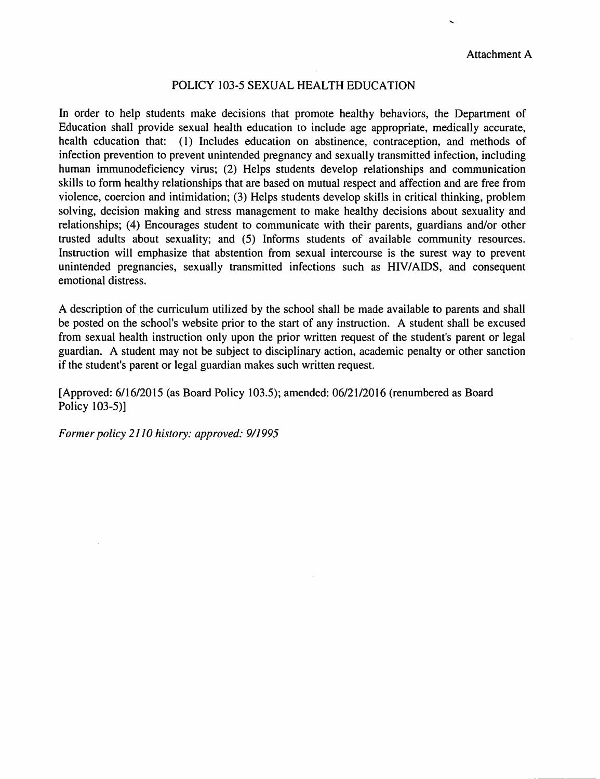#### POLICY 103-5 SEXUAL HEALTH EDUCATION

In order to help students make decisions that promote healthy behaviors, the Department of Education shall provide sexual health education to include age appropriate, medically accurate, health education that: (1) Includes education on abstinence, contraception, and methods of infection prevention to prevent unintended pregnancy and sexually transmitted infection, including human immunodeficiency virus; (2) Helps students develop relationships and communication skills to form healthy relationships that are based on mutual respect and affection and are free from violence, coercion and intimidation; (3) Helps students develop skills in critical thinking, problem solving, decision making and stress management to make healthy decisions about sexuality and relationships; (4) Encourages student to communicate with their parents, guardians and/or other trusted adults about sexuality; and (5) Informs students of available community resources. Instruction will emphasize that abstention from sexual intercourse is the surest way to prevent unintended pregnancies, sexually transmitted infections such as **HIV/AIDS,** and consequent emotional distress.

A description of the curriculum utilized by the school shall be made available to parents and shall be posted on the school's website prior to the start of any instruction. A student shall be excused from sexual health instruction only upon the prior written request of the student's parent or legal guardian. A student may not be subject to disciplinary action, academic penalty or other sanction if the student's parent or legal guardian makes such written request.

[Approved: 6/16/2015 (as Board Policy 103.5); amended: 06/21/2016 (renumbered as Board Policy 103-5)]

*Former policy 2110 history: approved: 9/1995*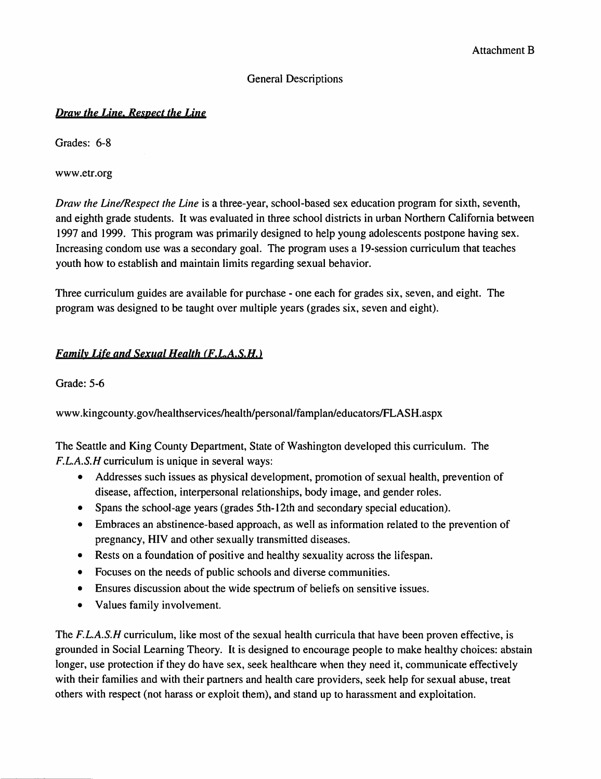#### General Descriptions

### *Draw the Line, Respect the Line*

Grades: 6-8

<www.etr.org>

*Draw the Line/Respect the Line* is a three-year, school-based sex education program for sixth, seventh, and eighth grade students. It was evaluated in three school districts in urban Northern California between 1997 and 1999. This program was primarily designed to help young adolescents postpone having sex. Increasing condom use was a secondary goal. The program uses a 19-session curriculum that teaches youth how to establish and maintain limits regarding sexual behavior.

Three curriculum guides are available for purchase - one each for grades six, seven, and eight. The program was designed to be taught over multiple years (grades six, seven and eight).

# *Family Life* and Sexual *Health (f.L.A.S.H.* <sup>&</sup>gt;

Grade: 5-6

www .[kingcounty.gov/healthservices/health/personal/famplan/educators/FLASH.](https://kingcounty.gov/healthservices/health/personal/famplan/educators/FLASH)aspx

The Seattle and King County Department, State of Washington developed this curriculum. The F.L.A.S.H curriculum is unique in several ways:

- Addresses such issues as physical development, promotion of sexual health, prevention of disease, affection, interpersonal relationships, body image, and gender roles.
- Spans the school-age years (grades 5th-12th and secondary special education).
- Embraces an abstinence-based approach, as well as information related to the prevention of pregnancy, HIV and other sexually transmitted diseases.
- Rests on a foundation of positive and healthy sexuality across the lifespan.
- Focuses on the needs of public schools and diverse communities.
- Ensures discussion about the wide spectrum of beliefs on sensitive issues.
- Values family involvement.

The F.L.A.S.H curriculum, like most of the sexual health curricula that have been proven effective, is grounded in Social Learning Theory. It is designed to encourage people to make healthy choices: abstain longer, use protection if they do have sex, seek healthcare when they need it, communicate effectively with their families and with their partners and health care providers, seek help for sexual abuse, treat others with respect (not harass or exploit them), and stand up to harassment and exploitation.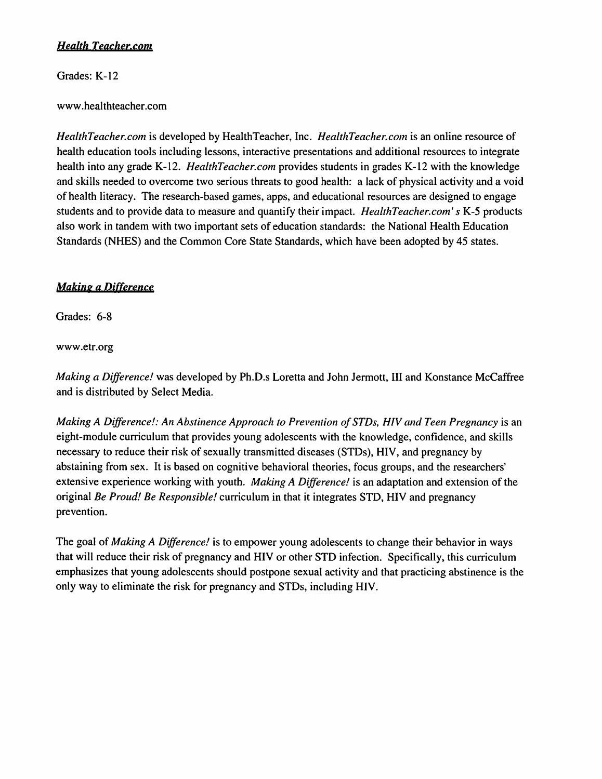# *Health [Teacher.com](https://Teacher.com)*

Grades: K-12

# www .healthteacher.com

*[HealthTeacher.com](https://HealthTeacher.com)* is developed by HealthTeacher, Inc. *[HealthTeacher.com](https://HealthTeacher.com)* is an online resource of health education tools including lessons, interactive presentations and additional resources to integrate health into any grade K-12. *[HealthTeacher.com](https://HealthTeacher.com)* provides students in grades K-12 with the knowledge and skills needed to overcome two serious threats to good health: a lack of physical activity and a void of health literacy. The research-based games, apps, and educational resources are designed to engage students and to provide data to measure and quantify their impact. *[HealthTeacher.com](https://HealthTeacher.com)' s* K-5 products also work in tandem with two important sets of education standards: the National Health Education Standards (NHES) and the Common Core State Standards, which have been adopted by 45 states.

# **Making a Difference**

Grades: 6-8

<www.etr.org>

*Making a Difference!* was developed by Ph.D.s Loretta and John Jermott, III and Konstance McCaffree and is distributed by Select Media.

*Making A Difference!: An Abstinence Approach to Prevention of STDs, HIV and Teen Pregnancy is an* eight-module curriculum that provides young adolescents with the knowledge, confidence, and skills necessary to reduce their risk of sexually transmitted diseases (STDs), HIV, and pregnancy by abstaining from sex. It is based on cognitive behavioral theories, focus groups, and the researchers' extensive experience working with youth. *Making A Difference!* is an adaptation and extension of the original *Be Proud! Be Responsible!* curriculum in that it integrates STD, HIV and pregnancy prevention.

The goal of *Making A Difference!* is to empower young adolescents to change their behavior in ways that will reduce their risk of pregnancy and HIV or other STD infection. Specifically, this curriculum emphasizes that young adolescents should postpone sexual activity and that practicing abstinence is the only way to eliminate the risk for pregnancy and STDs, including HIV.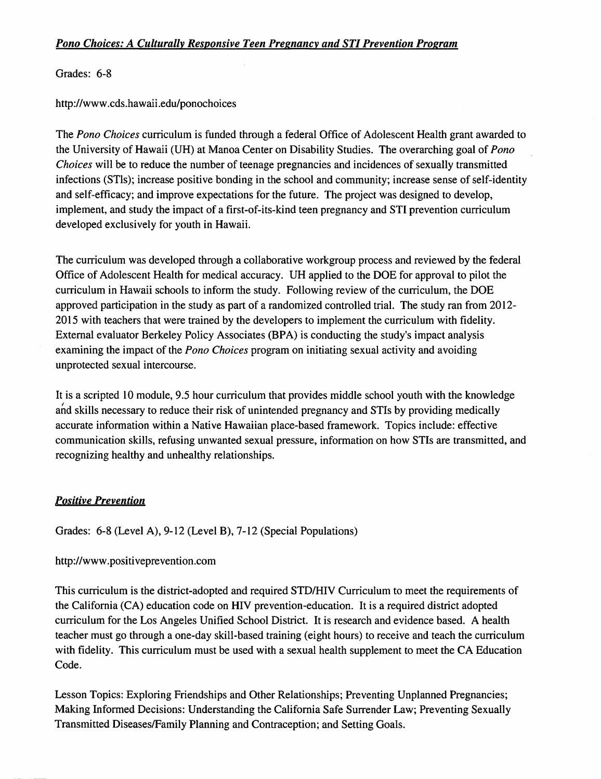### *Pono Choices: A Culturally Responsive Teen Pregnancy and STI Prevention Program*

Grades: 6-8

<http://www.cds.hawaii.edu/ponochoices>

The *Pono Choices* curriculum is funded through a federal Office of Adolescent Health grant awarded to the University of Hawaii (UH) at Manoa Center on Disability Studies. The overarching goal of *Pono Choices* will be to reduce the number of teenage pregnancies and incidences of sexually transmitted infections (STls); increase positive bonding in the school and community; increase sense of self-identity and self-efficacy; and improve expectations for the future. The project was designed to develop, implement, and study the impact of a first-of-its-kind teen pregnancy and STI prevention curriculum developed exclusively for youth in Hawaii.

The curriculum was developed through a collaborative workgroup process and reviewed by the federal Office of Adolescent Health for medical accuracy. UH applied to the DOE for approval to pilot the curriculum in Hawaii schools to inform the study. Following review of the curriculum, the DOE approved participation in the study as part of a randomized controlled trial. The study ran from 2012- 2015 with teachers that were trained by the developers to implement the curriculum with fidelity. External evaluator Berkeley Policy Associates (BPA) is conducting the study's impact analysis examining the impact of the *Pono Choices* program on initiating sexual activity and avoiding unprotected sexual intercourse.

It is a scripted 10 module, 9.5 hour curriculum that provides middle school youth with the knowledge and skills necessary to reduce their risk of unintended pregnancy and STis by providing medically accurate information within a Native Hawaiian place-based framework. Topics include: effective communication skills, refusing unwanted sexual pressure, information on how STis are transmitted, and recognizing healthy and unhealthy relationships.

#### *Positive Prevention*

Grades: 6-8 (Level A), 9-12 (Level B), 7-12 (Special Populations)

#### <http://www.positiveprevention.com>

This curriculum is the district-adopted and required STD/HIV Curriculum to meet the requirements of the California (CA) education code on HIV prevention-education. It is a required district adopted curriculum for the Los Angeles Unified School District. It is research and evidence based. A health teacher must go through a one-day skill-based training (eight hours) to receive and teach the curriculum with fidelity. This curriculum must be used with a sexual health supplement to meet the CA Education Code.

Lesson Topics: Exploring Friendships and Other Relationships; Preventing Unplanned Pregnancies; Making Informed Decisions: Understanding the California Safe Surrender Law; Preventing Sexually Transmitted Diseases/Family Planning and Contraception; and Setting Goals.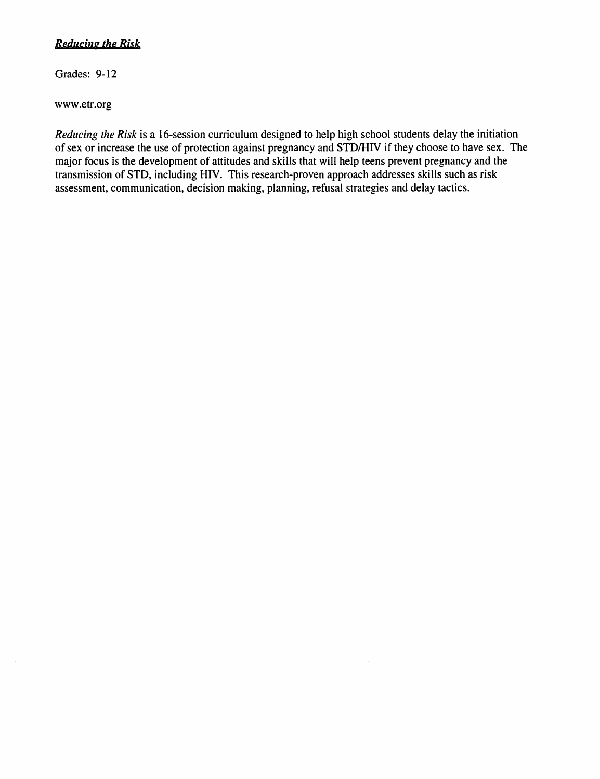# Reducing the Risk

Grades: 9-12

www.etr.org

 $\bar{z}$ 

*Reducing the Risk* is a 16-session curriculum designed to help high school students delay the initiation of sex or increase the use of protection against pregnancy and STD/HIV if they choose to have sex. The major focus is the development of attitudes and skills that will help teens prevent pregnancy and the transmission of STD, including HIV. This research-proven approach addresses skills such as risk assessment, communication, decision making, planning, refusal strategies and delay tactics.

 $\sim$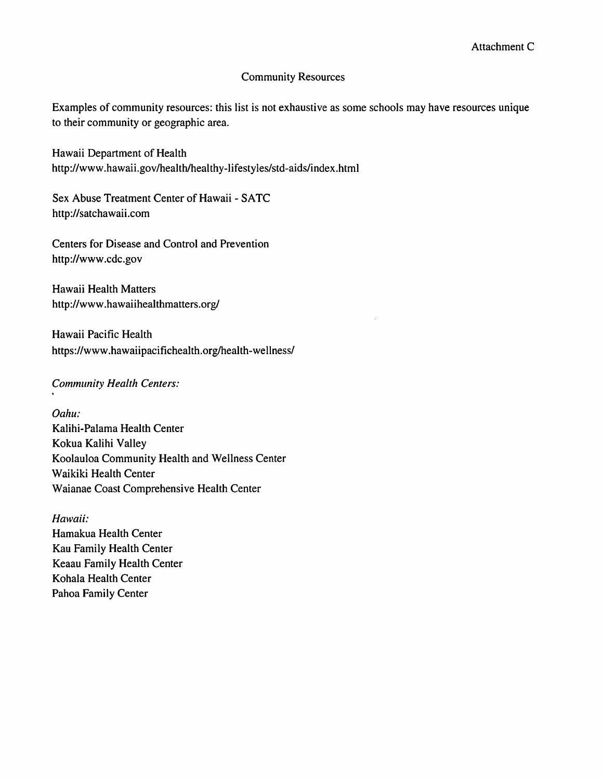#### Community Resources

Examples of community resources: this list is not exhaustive as some schools may have resources unique to their community or geographic area.

Hawaii Department of Health <http://www.hawaii.gov/health/healthy-lifestyles/std-aids/index.html>

Sex Abuse Treatment Center of Hawaii - SATC <http://satchawaii.com>

Centers for Disease and Control and Prevention <http://www.cdc.gov>

Hawaii Health Matters <http://www.hawaiihealthmatters.org>/

Hawaii Pacific Health <https://www.hawaiipacifichealth.org/health-wellness>/

*Community Health Centers:* 

*Oahu:*  Kalihi-Palama Health Center Kokua Kalihi Valley Koolauloa Community Health and Wellness Center Waikiki Health Center Waianae Coast Comprehensive Health Center

*Hawaii:*  Hamakua Health Center Kau Family Health Center Keaau Family Health Center Kohala Health Center Pahoa Family Center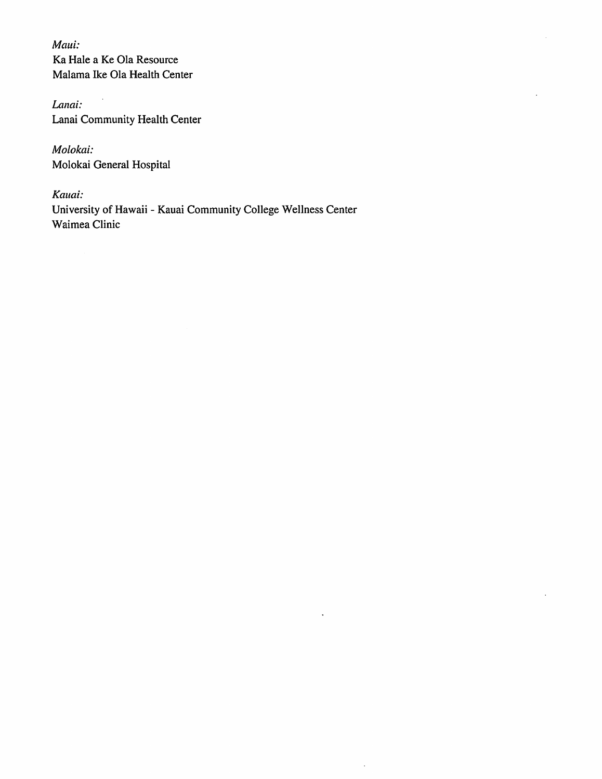*Maui:*  Ka Hale a Ke Ola Resource Malama Ike Ola Health Center

*Lanai:*  Lanai Community Health Center

*Molokai:*  Molokai General Hospital

*Kauai:*  University of Hawaii - Kauai Community College Wellness Center Waimea Clinic

 $\hat{\mathcal{A}}$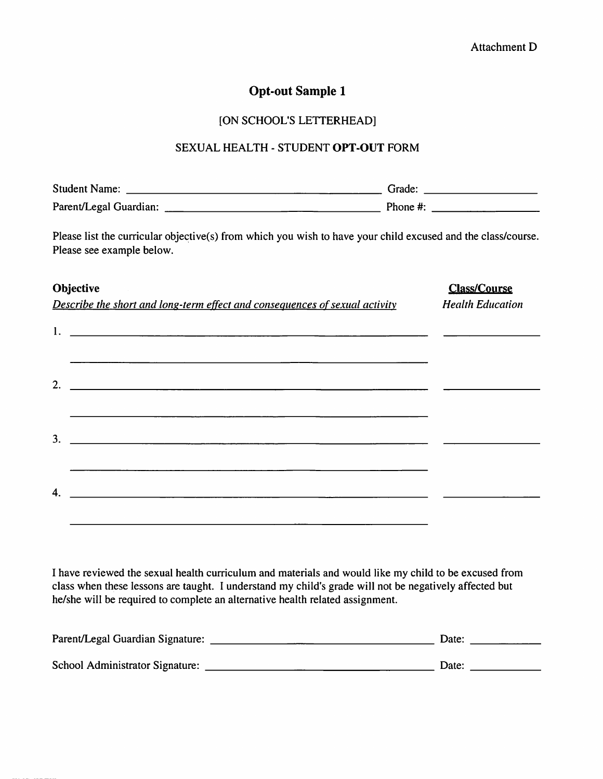# **Opt-out Sample 1**

### [ON SCHOOL'S LETTERHEAD]

### SEXUAL HEALTH - STUDENT **OPT-OUT** FORM

| <b>Student Name:</b>   | Grade:   |
|------------------------|----------|
| Parent/Legal Guardian: | Phone #: |

Please list the curricular objective(s) from which you wish to have your child excused and the class/course. Please see example below.

| Objective                                                                   | <b>Class/Course</b>     |
|-----------------------------------------------------------------------------|-------------------------|
| Describe the short and long-term effect and consequences of sexual activity | <b>Health Education</b> |
|                                                                             |                         |
| 2. $\qquad \qquad$                                                          |                         |
|                                                                             |                         |
| 4.                                                                          |                         |
|                                                                             |                         |

I have reviewed the sexual health curriculum and materials and would like my child to be excused from class when these lessons are taught. I understand my child's grade will not be negatively affected but he/she will be required to complete an alternative health related assignment.

| Parent/Legal Guardian Signature: | Date: |
|----------------------------------|-------|
| School Administrator Signature:  | Date: |